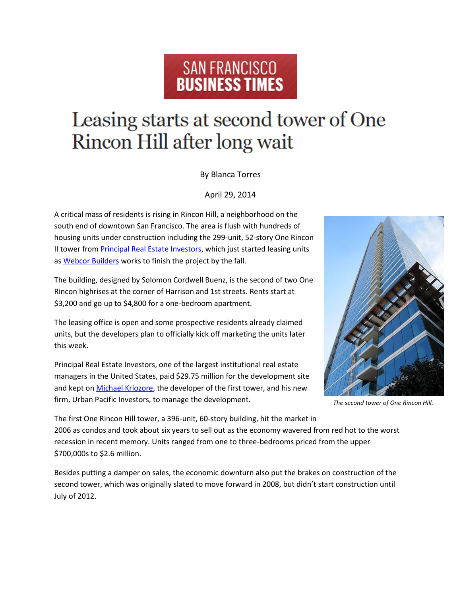## SAN FRANCISCO **BUSINESS TIMES**

## Leasing starts at second tower of One Rincon Hill after long wait

By Blanca Torres

April 29, 2014

A critical mass of residents is rising in Rincon Hill, a neighborhood on the south end of downtown San Francisco. The area is flush with hundreds of housing units under construction including the 299-unit, 52-story One Rincon II tower from **Principal Real Estate Investors**, which just started leasing units as [Webcor Builders](http://pubads.g.doubleclick.net/pagead/adview?ai=B35-wRzNhU5LEO9H7-QPEtID4A5Hgh6YFAAAAEAEgADgAWKn_hLCRAWDJxs2GyKOgGYIBF2NhLXB1Yi05NzM2MDkyNjA0Njc3NTE2sgETd3d3LmJpempvdXJuYWxzLmNvbboBCWdmcF9pbWFnZcgBCdoBgAFodHRwOi8vd3d3LmJpempvdXJuYWxzLmNvbS9zYW5mcmFuY2lzY28vYmxvZy9yZWFsLWVzdGF0ZS8yMDE0LzA0L29uZS1yaW5jb24taGlsbC10b3dlci1paS1zYW4tZnJhbmNpc2NvLWFwYXJ0bWVudHMuaHRtbD9wYWdlPWFsbJgCrtABwAIC4AIA6gIiNDYzNS9iemouc2FuZnJhbmNpc2NvL2FydGljbGVfcGFnZfgCg9IekAOsApgD4AOoAwHgBAGgBiA&sigh=Lb1Y_Jfis4I&adurl=http://pagead2.googlesyndication.com/pagead/imgad/1482981/InterstitialTemplate2014_chase.html%3Ft%3D10%26cT%3Dhttp%253A//bizjournals.com%26l%3Dhttp%253A//www.bizjournals.com/profiles/company/us/ca/san_mateo/webcor_builders/3241200) works to finish the project by the fall.

The building, designed by Solomon Cordwell Buenz, is the second of two One Rincon highrises at the corner of Harrison and 1st streets. Rents start at \$3,200 and go up to \$4,800 for a one-bedroom apartment.

The leasing office is open and some prospective residents already claimed units, but the developers plan to officially kick off marketing the units later this week.

Principal Real Estate Investors, one of the largest institutional real estate managers in the United States, paid \$29.75 million for the development site and kept on [Michael Kriozore,](http://pubads.g.doubleclick.net/pagead/adview?ai=B35-wRzNhU5LEO9H7-QPEtID4A5Hgh6YFAAAAEAEgADgAWKn_hLCRAWDJxs2GyKOgGYIBF2NhLXB1Yi05NzM2MDkyNjA0Njc3NTE2sgETd3d3LmJpempvdXJuYWxzLmNvbboBCWdmcF9pbWFnZcgBCdoBgAFodHRwOi8vd3d3LmJpempvdXJuYWxzLmNvbS9zYW5mcmFuY2lzY28vYmxvZy9yZWFsLWVzdGF0ZS8yMDE0LzA0L29uZS1yaW5jb24taGlsbC10b3dlci1paS1zYW4tZnJhbmNpc2NvLWFwYXJ0bWVudHMuaHRtbD9wYWdlPWFsbJgCrtABwAIC4AIA6gIiNDYzNS9iemouc2FuZnJhbmNpc2NvL2FydGljbGVfcGFnZfgCg9IekAOsApgD4AOoAwHgBAGgBiA&sigh=Lb1Y_Jfis4I&adurl=http://pagead2.googlesyndication.com/pagead/imgad/1482981/InterstitialTemplate2014_chase.html%3Ft%3D10%26cT%3Dhttp%253A//bizjournals.com%26l%3Dhttp%253A//www.bizjournals.com/sanfrancisco/search/results%253Fq%253DMichael%252520Kriozore) the developer of the first tower, and his new firm, Urban Pacific Investors, to manage the development.



*The second tower of One Rincon Hill.*

The first One Rincon Hill tower, a 396-unit, 60-story building, hit the market in 2006 as condos and took about six years to sell out as the economy wavered from red hot to the worst recession in recent memory. Units ranged from one to three-bedrooms priced from the upper \$700,000s to \$2.6 million.

Besides putting a damper on sales, the economic downturn also put the brakes on construction of the second tower, which was originally slated to move forward in 2008, but didn't start construction until July of 2012.